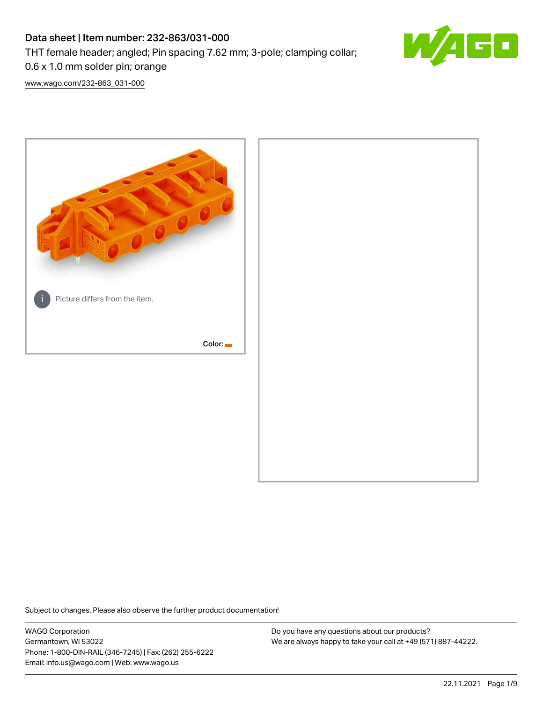# Data sheet | Item number: 232-863/031-000

THT female header; angled; Pin spacing 7.62 mm; 3-pole; clamping collar;



0.6 x 1.0 mm solder pin; orange

[www.wago.com/232-863\\_031-000](http://www.wago.com/232-863_031-000)



Subject to changes. Please also observe the further product documentation!

WAGO Corporation Germantown, WI 53022 Phone: 1-800-DIN-RAIL (346-7245) | Fax: (262) 255-6222 Email: info.us@wago.com | Web: www.wago.us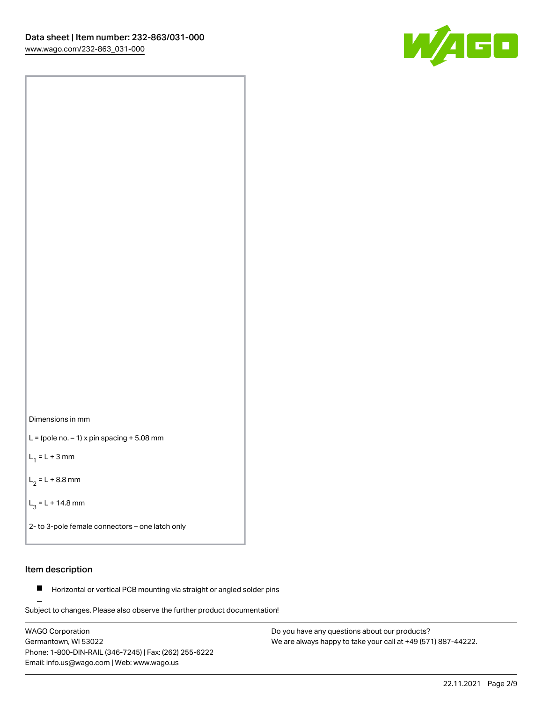



 $L =$  (pole no.  $-1$ ) x pin spacing  $+5.08$  mm

 $L_1 = L + 3$  mm

 $L_2 = L + 8.8$  mm

 $L_3 = L + 14.8$  mm

2- to 3-pole female connectors – one latch only

# Item description

**Horizontal or vertical PCB mounting via straight or angled solder pins** 

Subject to changes. Please also observe the further product documentation! For board-to-board and board-to-wire connections

WAGO Corporation Germantown, WI 53022 Phone: 1-800-DIN-RAIL (346-7245) | Fax: (262) 255-6222 Email: info.us@wago.com | Web: www.wago.us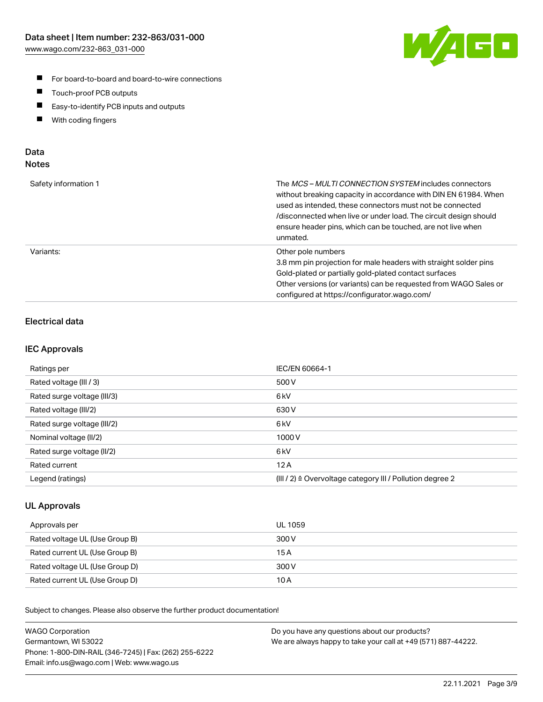

- For board-to-board and board-to-wire connections
- $\blacksquare$ Touch-proof PCB outputs
- $\blacksquare$ Easy-to-identify PCB inputs and outputs
- $\blacksquare$ With coding fingers

# Data **Notes**

| Safety information 1 | The <i>MCS – MULTI CONNECTION SYSTEM</i> includes connectors<br>without breaking capacity in accordance with DIN EN 61984. When<br>used as intended, these connectors must not be connected<br>/disconnected when live or under load. The circuit design should<br>ensure header pins, which can be touched, are not live when<br>unmated. |
|----------------------|--------------------------------------------------------------------------------------------------------------------------------------------------------------------------------------------------------------------------------------------------------------------------------------------------------------------------------------------|
| Variants:            | Other pole numbers<br>3.8 mm pin projection for male headers with straight solder pins<br>Gold-plated or partially gold-plated contact surfaces<br>Other versions (or variants) can be requested from WAGO Sales or<br>configured at https://configurator.wago.com/                                                                        |

# Electrical data

## IEC Approvals

| Ratings per                 | IEC/EN 60664-1                                                        |
|-----------------------------|-----------------------------------------------------------------------|
| Rated voltage (III / 3)     | 500 V                                                                 |
| Rated surge voltage (III/3) | 6 <sub>kV</sub>                                                       |
| Rated voltage (III/2)       | 630 V                                                                 |
| Rated surge voltage (III/2) | 6 <sub>kV</sub>                                                       |
| Nominal voltage (II/2)      | 1000 V                                                                |
| Rated surge voltage (II/2)  | 6 <sub>kV</sub>                                                       |
| Rated current               | 12A                                                                   |
| Legend (ratings)            | $(III / 2)$ $\triangle$ Overvoltage category III / Pollution degree 2 |

## UL Approvals

| Approvals per                  | UL 1059 |
|--------------------------------|---------|
| Rated voltage UL (Use Group B) | 300 V   |
| Rated current UL (Use Group B) | 15 A    |
| Rated voltage UL (Use Group D) | 300 V   |
| Rated current UL (Use Group D) | 10 A    |

Subject to changes. Please also observe the further product documentation!

| <b>WAGO Corporation</b>                                | Do you have any questions about our products?                 |
|--------------------------------------------------------|---------------------------------------------------------------|
| Germantown, WI 53022                                   | We are always happy to take your call at +49 (571) 887-44222. |
| Phone: 1-800-DIN-RAIL (346-7245)   Fax: (262) 255-6222 |                                                               |
| Email: info.us@wago.com   Web: www.wago.us             |                                                               |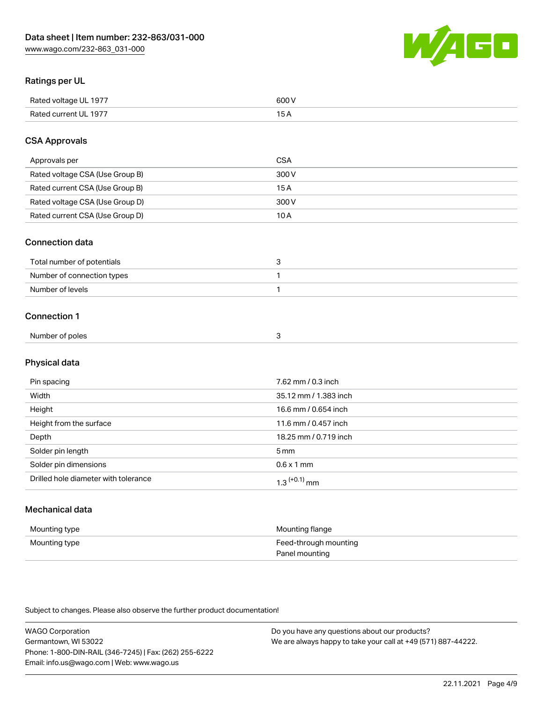

# Ratings per UL

| Rated voltage UL 1977 | 600 \<br>.   |
|-----------------------|--------------|
| Rated current UL 1977 | . . <i>.</i> |

# CSA Approvals

| Approvals per                   | CSA   |
|---------------------------------|-------|
| Rated voltage CSA (Use Group B) | 300 V |
| Rated current CSA (Use Group B) | 15 A  |
| Rated voltage CSA (Use Group D) | 300 V |
| Rated current CSA (Use Group D) | 10 A  |

### Connection data

| Total number of potentials |  |
|----------------------------|--|
| Number of connection types |  |
| Number of levels           |  |

### Connection 1

| Number of poles |  |
|-----------------|--|

# Physical data

| Pin spacing                          | 7.62 mm / 0.3 inch    |
|--------------------------------------|-----------------------|
| Width                                | 35.12 mm / 1.383 inch |
| Height                               | 16.6 mm / 0.654 inch  |
| Height from the surface              | 11.6 mm / 0.457 inch  |
| Depth                                | 18.25 mm / 0.719 inch |
| Solder pin length                    | 5 <sub>mm</sub>       |
| Solder pin dimensions                | $0.6 \times 1$ mm     |
| Drilled hole diameter with tolerance | $1.3$ $(+0.1)$ mm     |

# Mechanical data

| Mounting type | Mounting flange                         |
|---------------|-----------------------------------------|
| Mounting type | Feed-through mounting<br>Panel mounting |

Subject to changes. Please also observe the further product documentation!

| <b>WAGO Corporation</b>                                | Do you have any questions about our products?                 |
|--------------------------------------------------------|---------------------------------------------------------------|
| Germantown, WI 53022                                   | We are always happy to take your call at +49 (571) 887-44222. |
| Phone: 1-800-DIN-RAIL (346-7245)   Fax: (262) 255-6222 |                                                               |
| Email: info.us@wago.com   Web: www.wago.us             |                                                               |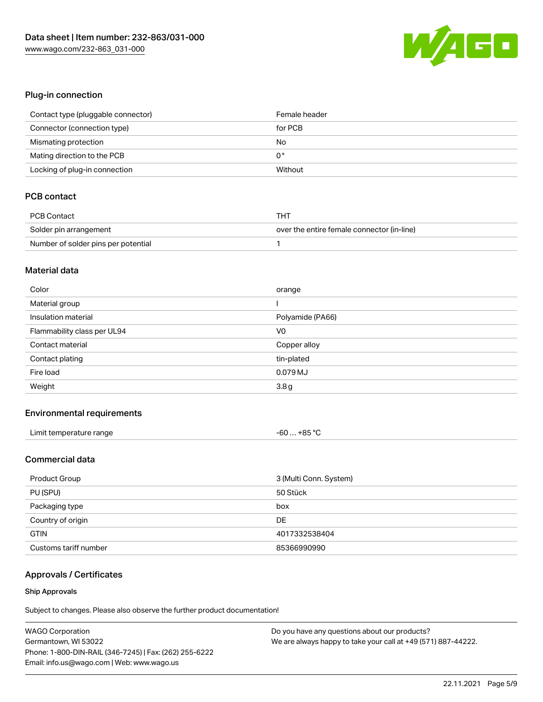

# Plug-in connection

| Contact type (pluggable connector) | Female header |
|------------------------------------|---------------|
| Connector (connection type)        | for PCB       |
| Mismating protection               | No            |
| Mating direction to the PCB        | 0°            |
| Locking of plug-in connection      | Without       |

# PCB contact

| <b>PCB Contact</b>                  | THT                                        |
|-------------------------------------|--------------------------------------------|
| Solder pin arrangement              | over the entire female connector (in-line) |
| Number of solder pins per potential |                                            |

#### Material data

| Color                       | orange           |
|-----------------------------|------------------|
| Material group              |                  |
| Insulation material         | Polyamide (PA66) |
| Flammability class per UL94 | V <sub>0</sub>   |
|                             |                  |
| Contact material            | Copper alloy     |
| Contact plating             | tin-plated       |
| Fire load                   | 0.079 MJ         |

### Environmental requirements

| Limit temperature range | +85 °C<br>-60 |
|-------------------------|---------------|
|-------------------------|---------------|

# Commercial data

| 3 (Multi Conn. System)<br>Product Group |               |
|-----------------------------------------|---------------|
| PU (SPU)                                | 50 Stück      |
| Packaging type                          | box           |
| Country of origin                       | DE            |
| <b>GTIN</b>                             | 4017332538404 |
| Customs tariff number                   | 85366990990   |

# Approvals / Certificates

#### Ship Approvals

Subject to changes. Please also observe the further product documentation!

| <b>WAGO Corporation</b>                                | Do you have any questions about our products?                 |
|--------------------------------------------------------|---------------------------------------------------------------|
| Germantown, WI 53022                                   | We are always happy to take your call at +49 (571) 887-44222. |
| Phone: 1-800-DIN-RAIL (346-7245)   Fax: (262) 255-6222 |                                                               |
| Email: info.us@wago.com   Web: www.wago.us             |                                                               |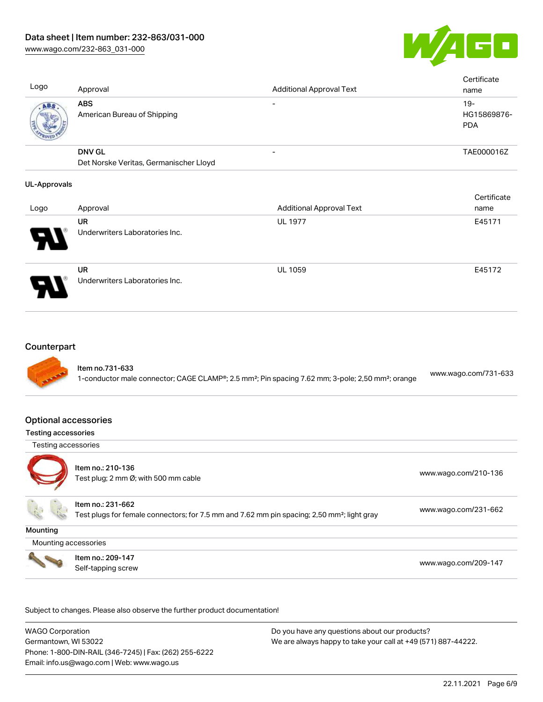

Cortificate

Logo Approval Approval Additional Approval Text **Certificate** name ABS American Bureau of Shipping - 19-HG15869876- PDA DNV GL Det Norske Veritas, Germanischer Lloyd - TAE000016Z

#### UL-Approvals

|                       |                                             |                                 | <b>Celullcate</b> |
|-----------------------|---------------------------------------------|---------------------------------|-------------------|
| Logo                  | Approval                                    | <b>Additional Approval Text</b> | name              |
|                       | UR                                          | <b>UL 1977</b>                  | E45171            |
| $\boldsymbol{\theta}$ | Underwriters Laboratories Inc.              |                                 |                   |
| 9.                    | <b>UR</b><br>Underwriters Laboratories Inc. | <b>UL 1059</b>                  | E45172            |

### **Counterpart**



### Optional accessories

#### Testing accessories

Testing accessories



Item no.: 210-136 ntem no.: 210 100<br>Test plug; 2 mm Ø; with 500 mm cable [www.wago.com/210-136](http://www.wago.com/210-136)

Item no.: 231-662

Test plugs for female connectors; for 7.5 mm and 7.62 mm pin spacing; 2,50 mm²; light gray [www.wago.com/231-662](http://www.wago.com/231-662)

**Mounting** 

Mounting accessories



Item no.: 209-147 Next Trefficient Control 2001 147<br>Self-tapping screw [www.wago.com/209-147](http://www.wago.com/209-147)

Subject to changes. Please also observe the further product documentation!

WAGO Corporation Germantown, WI 53022 Phone: 1-800-DIN-RAIL (346-7245) | Fax: (262) 255-6222 Email: info.us@wago.com | Web: www.wago.us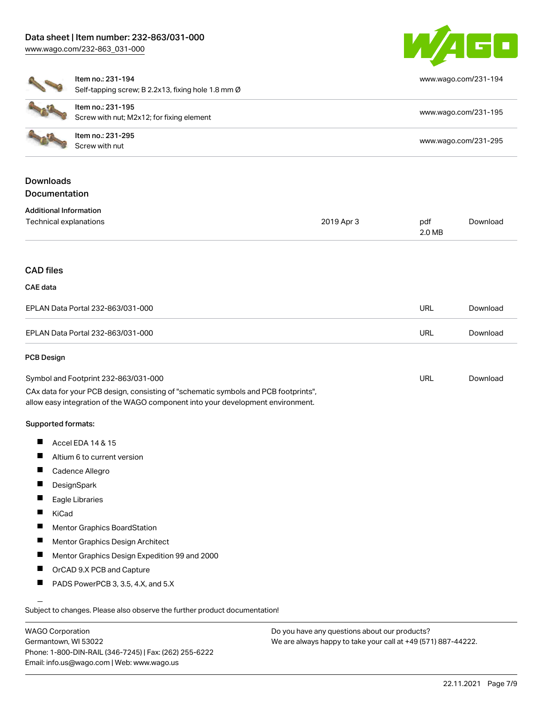

[www.wago.com/231-194](http://www.wago.com/231-194)

| Item no.: 231-195                                  |
|----------------------------------------------------|
| Self-tapping screw; B 2.2x13, fixing hole 1.8 mm Ø |
| Item no.: 231-194                                  |

| ltem no.: 231-194 |  |
|-------------------|--|
|-------------------|--|

| ltem no.: 231-195<br>Screw with nut; M2x12; for fixing element | www.wago.com/231-195 |
|----------------------------------------------------------------|----------------------|
| ltem no.: 231-295<br>Screw with nut                            | www.wago.com/231-295 |

# Downloads **Documentation**

| <b>Additional Information</b> |  |
|-------------------------------|--|
|-------------------------------|--|

| Technical explanations                                                                                                                                                 | 2019 Apr 3 | pdf<br>2.0 MB | Download |
|------------------------------------------------------------------------------------------------------------------------------------------------------------------------|------------|---------------|----------|
| <b>CAD files</b>                                                                                                                                                       |            |               |          |
| <b>CAE</b> data                                                                                                                                                        |            |               |          |
| EPLAN Data Portal 232-863/031-000                                                                                                                                      |            | <b>URL</b>    | Download |
| EPLAN Data Portal 232-863/031-000                                                                                                                                      |            | URL           | Download |
| <b>PCB Design</b>                                                                                                                                                      |            |               |          |
| Symbol and Footprint 232-863/031-000                                                                                                                                   |            | <b>URL</b>    | Download |
| CAx data for your PCB design, consisting of "schematic symbols and PCB footprints",<br>allow easy integration of the WAGO component into your development environment. |            |               |          |
| Supported formats:                                                                                                                                                     |            |               |          |
| ш<br>Accel EDA 14 & 15                                                                                                                                                 |            |               |          |
| ш<br>Altium 6 to current version                                                                                                                                       |            |               |          |
| ш<br>Cadence Allegro                                                                                                                                                   |            |               |          |
| П<br>DesignSpark                                                                                                                                                       |            |               |          |
| Ш<br>Eagle Libraries                                                                                                                                                   |            |               |          |

- $\blacksquare$ KiCad
- $\blacksquare$ Mentor Graphics BoardStation
- $\blacksquare$ Mentor Graphics Design Architect
- $\blacksquare$ Mentor Graphics Design Expedition 99 and 2000
- $\blacksquare$ OrCAD 9.X PCB and Capture
- П PADS PowerPCB 3, 3.5, 4.X, and 5.X

Subject to changes. Please also observe the further product documentation!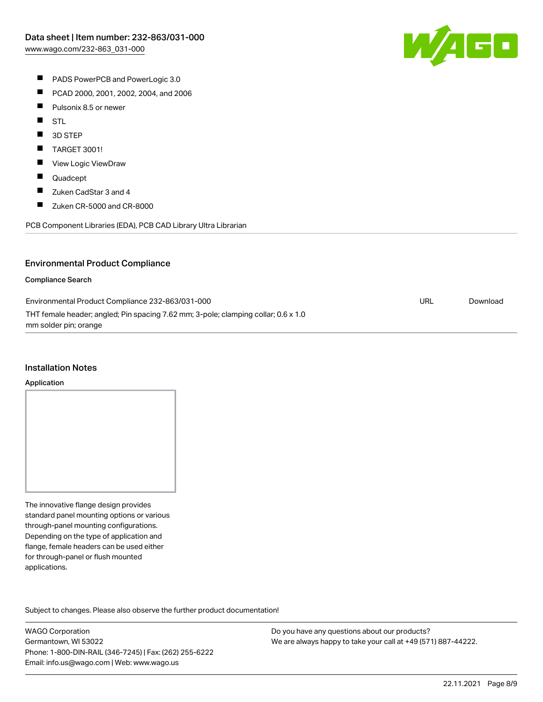

- **PADS PowerPCB and PowerLogic 3.0**
- $\blacksquare$ PCAD 2000, 2001, 2002, 2004, and 2006
- $\blacksquare$ Pulsonix 8.5 or newer
- $\blacksquare$ STL
- $\blacksquare$ 3D STEP
- $\blacksquare$ TARGET 3001!
- $\blacksquare$ View Logic ViewDraw
- $\blacksquare$ Quadcept
- $\blacksquare$ Zuken CadStar 3 and 4
- $\blacksquare$ Zuken CR-5000 and CR-8000

PCB Component Libraries (EDA), PCB CAD Library Ultra Librarian

### Environmental Product Compliance

#### Compliance Search

| Environmental Product Compliance 232-863/031-000                                   | URL | Download |
|------------------------------------------------------------------------------------|-----|----------|
| THT female header; angled; Pin spacing 7.62 mm; 3-pole; clamping collar; 0.6 x 1.0 |     |          |
| mm solder pin; orange                                                              |     |          |

#### Installation Notes

#### Application

The innovative flange design provides standard panel mounting options or various through-panel mounting configurations. Depending on the type of application and flange, female headers can be used either for through-panel or flush mounted applications.

Subject to changes. Please also observe the further product documentation! Product family

WAGO Corporation Germantown, WI 53022 Phone: 1-800-DIN-RAIL (346-7245) | Fax: (262) 255-6222 Email: info.us@wago.com | Web: www.wago.us